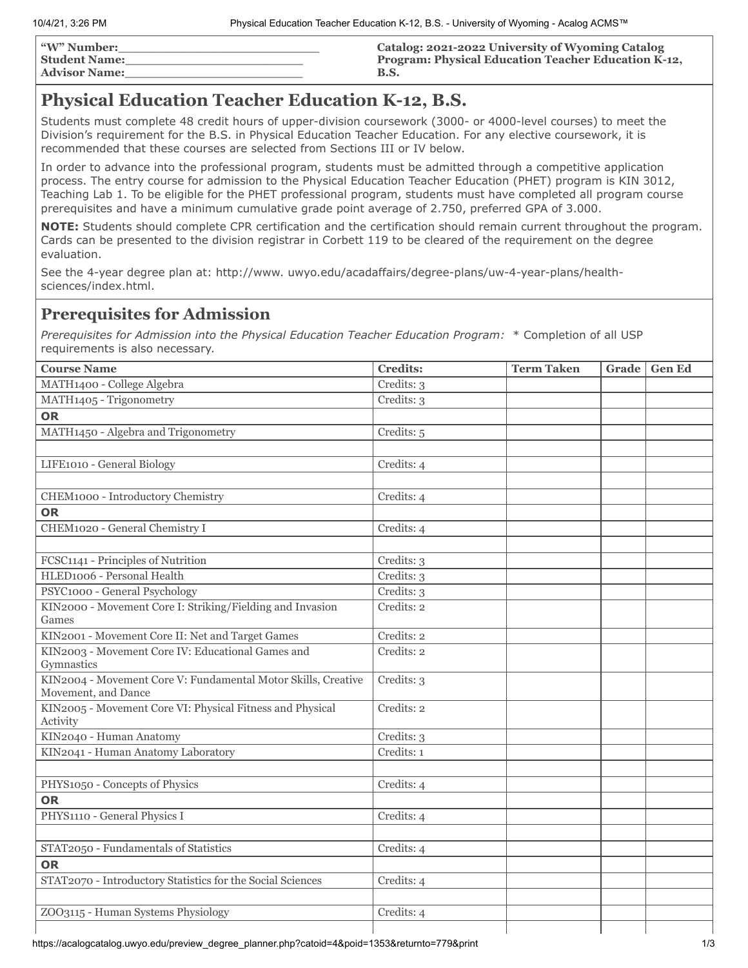| "W" Number:          | Catalog: 2021-2022 University of Wyoming Catalog           |
|----------------------|------------------------------------------------------------|
| <b>Student Name:</b> | <b>Program: Physical Education Teacher Education K-12,</b> |
| <b>Advisor Name:</b> | B.S.                                                       |

# **Physical Education Teacher Education K-12, B.S.**

Students must complete 48 credit hours of upper-division coursework (3000- or 4000-level courses) to meet the Division's requirement for the B.S. in Physical Education Teacher Education. For any elective coursework, it is recommended that these courses are selected from Sections III or IV below.

In order to advance into the professional program, students must be admitted through a competitive application process. The entry course for admission to the Physical Education Teacher Education (PHET) program is KIN 3012, Teaching Lab 1. To be eligible for the PHET professional program, students must have completed all program course prerequisites and have a minimum cumulative grade point average of 2.750, preferred GPA of 3.000.

**NOTE:** Students should complete CPR certification and the certification should remain current throughout the program. Cards can be presented to the division registrar in Corbett 119 to be cleared of the requirement on the degree evaluation.

See the 4-year degree plan at: http://www. uwyo.edu/acadaffairs/degree-plans/uw-4-year-plans/healthsciences/index.html.

## **Prerequisites for Admission**

*Prerequisites for Admission into the Physical Education Teacher Education Program:* \* Completion of all USP requirements is also necessary.

| <b>Course Name</b>                                                    | <b>Credits:</b> | <b>Term Taken</b> | Grade | <b>Gen Ed</b> |
|-----------------------------------------------------------------------|-----------------|-------------------|-------|---------------|
| MATH1400 - College Algebra                                            | Credits: 3      |                   |       |               |
| MATH1405 - Trigonometry                                               | Credits: 3      |                   |       |               |
| <b>OR</b>                                                             |                 |                   |       |               |
| MATH1450 - Algebra and Trigonometry                                   | Credits: 5      |                   |       |               |
|                                                                       |                 |                   |       |               |
| LIFE1010 - General Biology                                            | Credits: 4      |                   |       |               |
|                                                                       |                 |                   |       |               |
| CHEM1000 - Introductory Chemistry                                     | Credits: 4      |                   |       |               |
| <b>OR</b>                                                             |                 |                   |       |               |
| CHEM1020 - General Chemistry I                                        | Credits: 4      |                   |       |               |
|                                                                       |                 |                   |       |               |
| FCSC1141 - Principles of Nutrition                                    | Credits: 3      |                   |       |               |
| HLED1006 - Personal Health                                            | Credits: 3      |                   |       |               |
| PSYC1000 - General Psychology                                         | Credits: 3      |                   |       |               |
| KIN2000 - Movement Core I: Striking/Fielding and Invasion             | Credits: 2      |                   |       |               |
| Games                                                                 |                 |                   |       |               |
| KIN2001 - Movement Core II: Net and Target Games                      | Credits: 2      |                   |       |               |
| KIN2003 - Movement Core IV: Educational Games and<br>Gymnastics       | Credits: 2      |                   |       |               |
| KIN2004 - Movement Core V: Fundamental Motor Skills, Creative         | Credits: 3      |                   |       |               |
| Movement, and Dance                                                   |                 |                   |       |               |
| KIN2005 - Movement Core VI: Physical Fitness and Physical<br>Activity | Credits: 2      |                   |       |               |
| KIN2040 - Human Anatomy                                               | Credits: 3      |                   |       |               |
| KIN2041 - Human Anatomy Laboratory                                    | Credits: 1      |                   |       |               |
|                                                                       |                 |                   |       |               |
| PHYS1050 - Concepts of Physics                                        | Credits: 4      |                   |       |               |
| <b>OR</b>                                                             |                 |                   |       |               |
| PHYS1110 - General Physics I                                          | Credits: 4      |                   |       |               |
|                                                                       |                 |                   |       |               |
| STAT2050 - Fundamentals of Statistics                                 | Credits: 4      |                   |       |               |
| <b>OR</b>                                                             |                 |                   |       |               |
| STAT2070 - Introductory Statistics for the Social Sciences            | Credits: 4      |                   |       |               |
|                                                                       |                 |                   |       |               |
| ZOO3115 - Human Systems Physiology                                    | Credits: 4      |                   |       |               |
|                                                                       |                 |                   |       |               |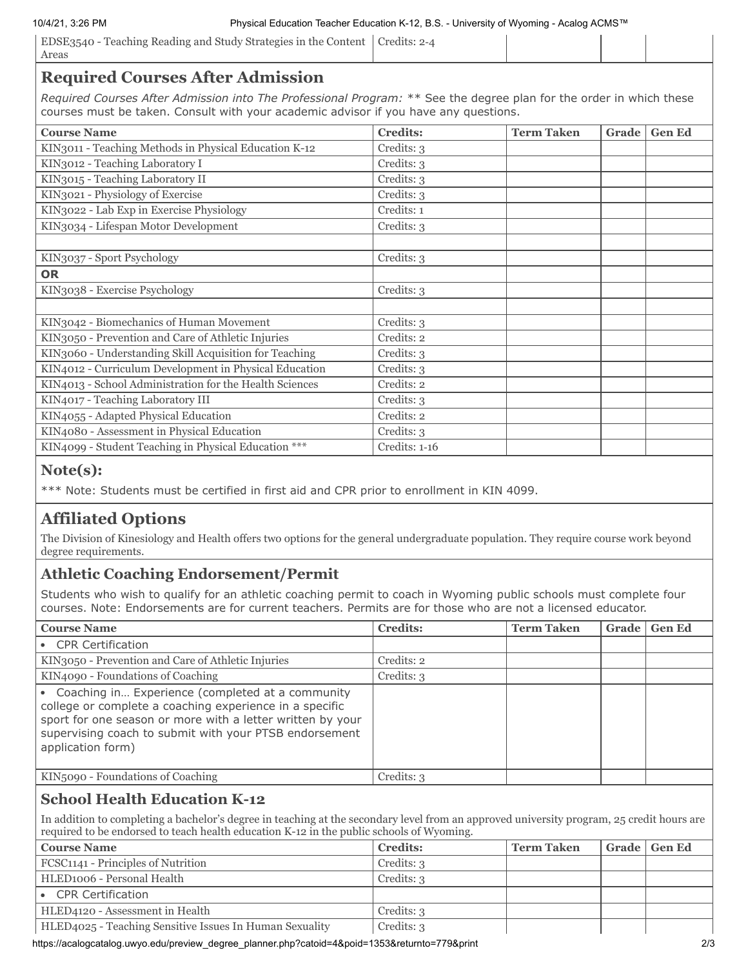| EDSE3540 - Teaching Reading and Study Strategies in the Content   Credits: 2-4 |  |  |
|--------------------------------------------------------------------------------|--|--|
| Areas                                                                          |  |  |

## **Required Courses After Admission**

*Required Courses After Admission into The Professional Program:* \*\* See the degree plan for the order in which these courses must be taken. Consult with your academic advisor if you have any questions.

| <b>Course Name</b>                                      | <b>Credits:</b> | <b>Term Taken</b> | Grade | <b>Gen Ed</b> |
|---------------------------------------------------------|-----------------|-------------------|-------|---------------|
| KIN3011 - Teaching Methods in Physical Education K-12   | Credits: 3      |                   |       |               |
| KIN3012 - Teaching Laboratory I                         | Credits: 3      |                   |       |               |
| KIN3015 - Teaching Laboratory II                        | Credits: 3      |                   |       |               |
| KIN3021 - Physiology of Exercise                        | Credits: 3      |                   |       |               |
| KIN3022 - Lab Exp in Exercise Physiology                | Credits: 1      |                   |       |               |
| KIN3034 - Lifespan Motor Development                    | Credits: 3      |                   |       |               |
|                                                         |                 |                   |       |               |
| KIN3037 - Sport Psychology                              | Credits: 3      |                   |       |               |
| <b>OR</b>                                               |                 |                   |       |               |
| KIN3038 - Exercise Psychology                           | Credits: 3      |                   |       |               |
|                                                         |                 |                   |       |               |
| KIN3042 - Biomechanics of Human Movement                | Credits: 3      |                   |       |               |
| KIN3050 - Prevention and Care of Athletic Injuries      | Credits: 2      |                   |       |               |
| KIN3060 - Understanding Skill Acquisition for Teaching  | Credits: 3      |                   |       |               |
| KIN4012 - Curriculum Development in Physical Education  | Credits: 3      |                   |       |               |
| KIN4013 - School Administration for the Health Sciences | Credits: 2      |                   |       |               |
| KIN4017 - Teaching Laboratory III                       | Credits: 3      |                   |       |               |
| KIN4055 - Adapted Physical Education                    | Credits: 2      |                   |       |               |
| KIN4080 - Assessment in Physical Education              | Credits: 3      |                   |       |               |
| KIN4099 - Student Teaching in Physical Education ***    | Credits: 1-16   |                   |       |               |

### **Note(s):**

\*\*\* Note: Students must be certified in first aid and CPR prior to enrollment in KIN 4099.

# **Affiliated Options**

The Division of Kinesiology and Health offers two options for the general undergraduate population. They require course work beyond degree requirements.

# **Athletic Coaching Endorsement/Permit**

Students who wish to qualify for an athletic coaching permit to coach in Wyoming public schools must complete four courses. Note: Endorsements are for current teachers. Permits are for those who are not a licensed educator.

| <b>Course Name</b>                                                                                                                                                                                                                                         | <b>Credits:</b> | <b>Term Taken</b> | <b>Grade</b> | <b>Gen Ed</b> |
|------------------------------------------------------------------------------------------------------------------------------------------------------------------------------------------------------------------------------------------------------------|-----------------|-------------------|--------------|---------------|
| • CPR Certification                                                                                                                                                                                                                                        |                 |                   |              |               |
| KIN3050 - Prevention and Care of Athletic Injuries                                                                                                                                                                                                         | Credits: 2      |                   |              |               |
| KIN4090 - Foundations of Coaching                                                                                                                                                                                                                          | Credits: 3      |                   |              |               |
| • Coaching in Experience (completed at a community<br>college or complete a coaching experience in a specific<br>sport for one season or more with a letter written by your<br>supervising coach to submit with your PTSB endorsement<br>application form) |                 |                   |              |               |
| KIN5090 - Foundations of Coaching                                                                                                                                                                                                                          | Credits: 3      |                   |              |               |

#### **School Health Education K-12**

In addition to completing a bachelor's degree in teaching at the secondary level from an approved university program, 25 credit hours are required to be endorsed to teach health education K-12 in the public schools of Wyoming.

| <b>Course Name</b>                                      | <b>Credits:</b> | <b>Term Taken</b> | Grade   Gen Ed |
|---------------------------------------------------------|-----------------|-------------------|----------------|
| FCSC1141 - Principles of Nutrition                      | Credits: 3      |                   |                |
| HLED1006 - Personal Health                              | Credits: 3      |                   |                |
| <b>CPR Certification</b>                                |                 |                   |                |
| HLED4120 - Assessment in Health                         | Credits: 3      |                   |                |
| HLED4025 - Teaching Sensitive Issues In Human Sexuality | Credits: 3      |                   |                |

https://acalogcatalog.uwyo.edu/preview\_degree\_planner.php?catoid=4&poid=1353&returnto=779&print 2/3